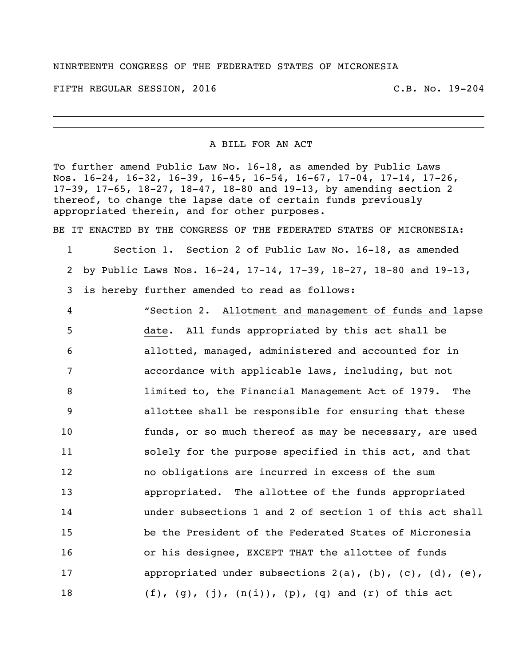## NINRTEENTH CONGRESS OF THE FEDERATED STATES OF MICRONESIA

FIFTH REGULAR SESSION, 2016 C.B. No. 19-204

A BILL FOR AN ACT

To further amend Public Law No. 16-18, as amended by Public Laws Nos. 16-24, 16-32, 16-39, 16-45, 16-54, 16-67, 17-04, 17-14, 17-26, 17-39, 17-65, 18-27, 18-47, 18-80 and 19-13, by amending section 2 thereof, to change the lapse date of certain funds previously appropriated therein, and for other purposes.

BE IT ENACTED BY THE CONGRESS OF THE FEDERATED STATES OF MICRONESIA:

1 Section 1. Section 2 of Public Law No. 16-18, as amended 2 by Public Laws Nos. 16-24, 17-14, 17-39, 18-27, 18-80 and 19-13, 3 is hereby further amended to read as follows:

 "Section 2. Allotment and management of funds and lapse date. All funds appropriated by this act shall be allotted, managed, administered and accounted for in accordance with applicable laws, including, but not limited to, the Financial Management Act of 1979. The allottee shall be responsible for ensuring that these funds, or so much thereof as may be necessary, are used solely for the purpose specified in this act, and that no obligations are incurred in excess of the sum appropriated. The allottee of the funds appropriated under subsections 1 and 2 of section 1 of this act shall be the President of the Federated States of Micronesia or his designee, EXCEPT THAT the allottee of funds 17 appropriated under subsections 2(a), (b), (c), (d), (e),  $(f)$ ,  $(g)$ ,  $(j)$ ,  $(n(i))$ ,  $(p)$ ,  $(q)$  and  $(r)$  of this act